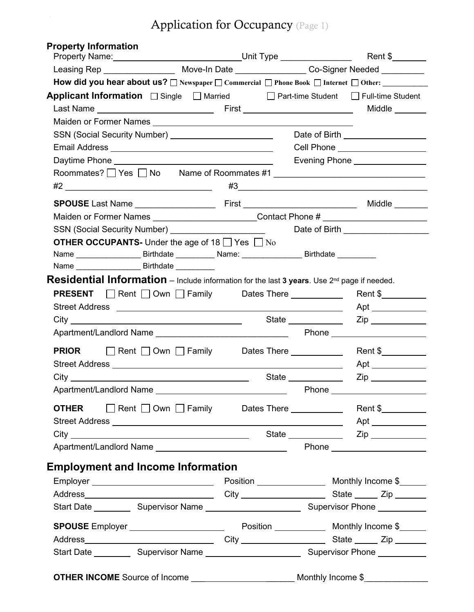## Application for Occupancy (Page 1)

| <b>Property Information</b><br>Property Name: ____________________________Unit Type ________________                                                                                                                                 |  |                     |                                                |
|--------------------------------------------------------------------------------------------------------------------------------------------------------------------------------------------------------------------------------------|--|---------------------|------------------------------------------------|
| Leasing Rep _______________________ Move-In Date __________________Co-Signer Needed ___________                                                                                                                                      |  |                     |                                                |
| How did you hear about us? □ Newspaper □ Commercial □ Phone Book □ Internet □ Other:                                                                                                                                                 |  |                     |                                                |
| <b>Applicant Information</b> □ Single □ Married □ Part-time Student □ Full-time Student                                                                                                                                              |  |                     |                                                |
| Maiden or Former Names Names National Account of the Contract of the Contract of the Contract of the Contract of the Contract of the Contract of the Contract of the Contract of the Contract of the Contract of the Contract        |  |                     |                                                |
| SSN (Social Security Number) ___________________________                                                                                                                                                                             |  |                     | Date of Birth ____________________             |
|                                                                                                                                                                                                                                      |  |                     | Cell Phone <u>____________________</u>         |
|                                                                                                                                                                                                                                      |  |                     | Evening Phone ________________                 |
| Roommates? DYes DNo Name of Roommates #1                                                                                                                                                                                             |  |                     | $\#3 \qquad \qquad \overbrace{\hspace{1.5cm}}$ |
|                                                                                                                                                                                                                                      |  |                     |                                                |
| Maiden or Former Names _________________________Contact Phone # ________________                                                                                                                                                     |  |                     |                                                |
|                                                                                                                                                                                                                                      |  |                     | Date of Birth ____________________             |
| <b>OTHER OCCUPANTS-</b> Under the age of 18 $\Box$ Yes $\Box$ No<br>Name __________________________Birthdate ______________Name: ________________________Birthdate ____________                                                      |  |                     |                                                |
| Residential Information - Include information for the last 3 years. Use 2nd page if needed.                                                                                                                                          |  |                     |                                                |
| <b>PRESENT</b> Rent Own Family Dates There <u>Community</u>                                                                                                                                                                          |  |                     |                                                |
| Street Address <b>Executive Contract Contract Contract Contract Contract Contract Contract Contract Contract Contract Contract Contract Contract Contract Contract Contract Contract Contract Contract Contract Contract Contrac</b> |  |                     |                                                |
|                                                                                                                                                                                                                                      |  |                     |                                                |
|                                                                                                                                                                                                                                      |  |                     |                                                |
|                                                                                                                                                                                                                                      |  |                     | Rent $\frac{1}{2}$ Rent $\frac{1}{2}$          |
|                                                                                                                                                                                                                                      |  |                     |                                                |
|                                                                                                                                                                                                                                      |  | State $\frac{1}{2}$ |                                                |
| Apartment/Landlord Name _________________________________                                                                                                                                                                            |  |                     | Phone ________________________                 |
|                                                                                                                                                                                                                                      |  |                     |                                                |
|                                                                                                                                                                                                                                      |  |                     |                                                |
|                                                                                                                                                                                                                                      |  |                     |                                                |
|                                                                                                                                                                                                                                      |  |                     |                                                |
| <b>Employment and Income Information</b>                                                                                                                                                                                             |  |                     |                                                |
| Employer _______________________________                                                                                                                                                                                             |  |                     |                                                |
|                                                                                                                                                                                                                                      |  |                     |                                                |
|                                                                                                                                                                                                                                      |  |                     |                                                |
|                                                                                                                                                                                                                                      |  |                     |                                                |
|                                                                                                                                                                                                                                      |  |                     |                                                |
|                                                                                                                                                                                                                                      |  |                     |                                                |
|                                                                                                                                                                                                                                      |  |                     |                                                |